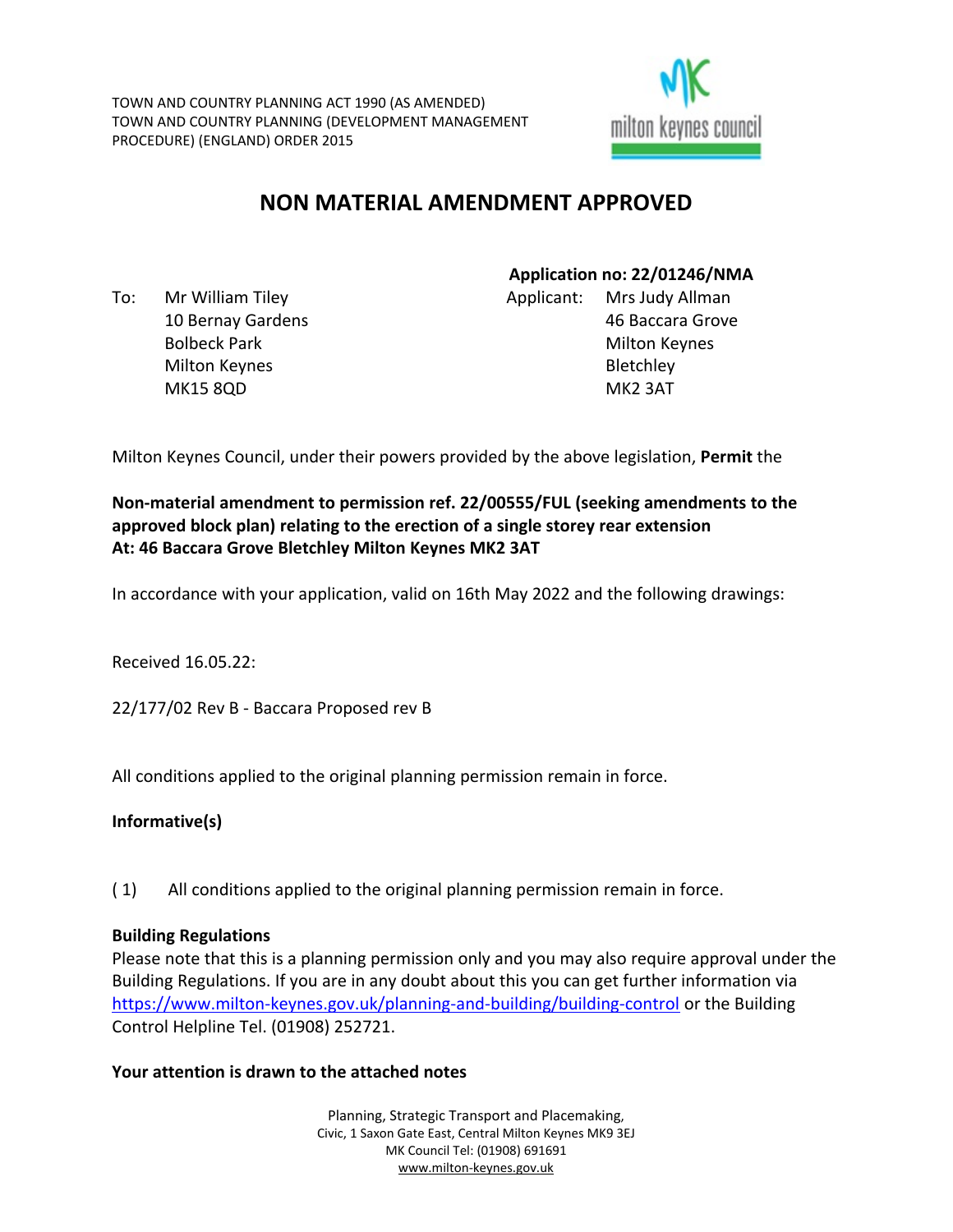

# **NON MATERIAL AMENDMENT APPROVED**

To: Mr William Tiley 10 Bernay Gardens Bolbeck Park Milton Keynes MK15 8QD

**Application no: 22/01246/NMA** Applicant: Mrs Judy Allman 46 Baccara Grove Milton Keynes **Bletchley** MK2 3AT

Milton Keynes Council, under their powers provided by the above legislation, **Permit** the

# **Non-material amendment to permission ref. 22/00555/FUL (seeking amendments to the approved block plan) relating to the erection of a single storey rear extension At: 46 Baccara Grove Bletchley Milton Keynes MK2 3AT**

In accordance with your application, valid on 16th May 2022 and the following drawings:

Received 16.05.22:

22/177/02 Rev B - Baccara Proposed rev B

All conditions applied to the original planning permission remain in force.

#### **Informative(s)**

( 1) All conditions applied to the original planning permission remain in force.

#### **Building Regulations**

Please note that this is a planning permission only and you may also require approval under the Building Regulations. If you are in any doubt about this you can get further information via <https://www.milton-keynes.gov.uk/planning-and-building/building-control> or the Building Control Helpline Tel. (01908) 252721.

#### **Your attention is drawn to the attached notes**

Planning, Strategic Transport and Placemaking, Civic, 1 Saxon Gate East, Central Milton Keynes MK9 3EJ MK Council Tel: (01908) 691691 [www.milton-keynes.gov.uk](http://www.milton-keynes.gov.uk/)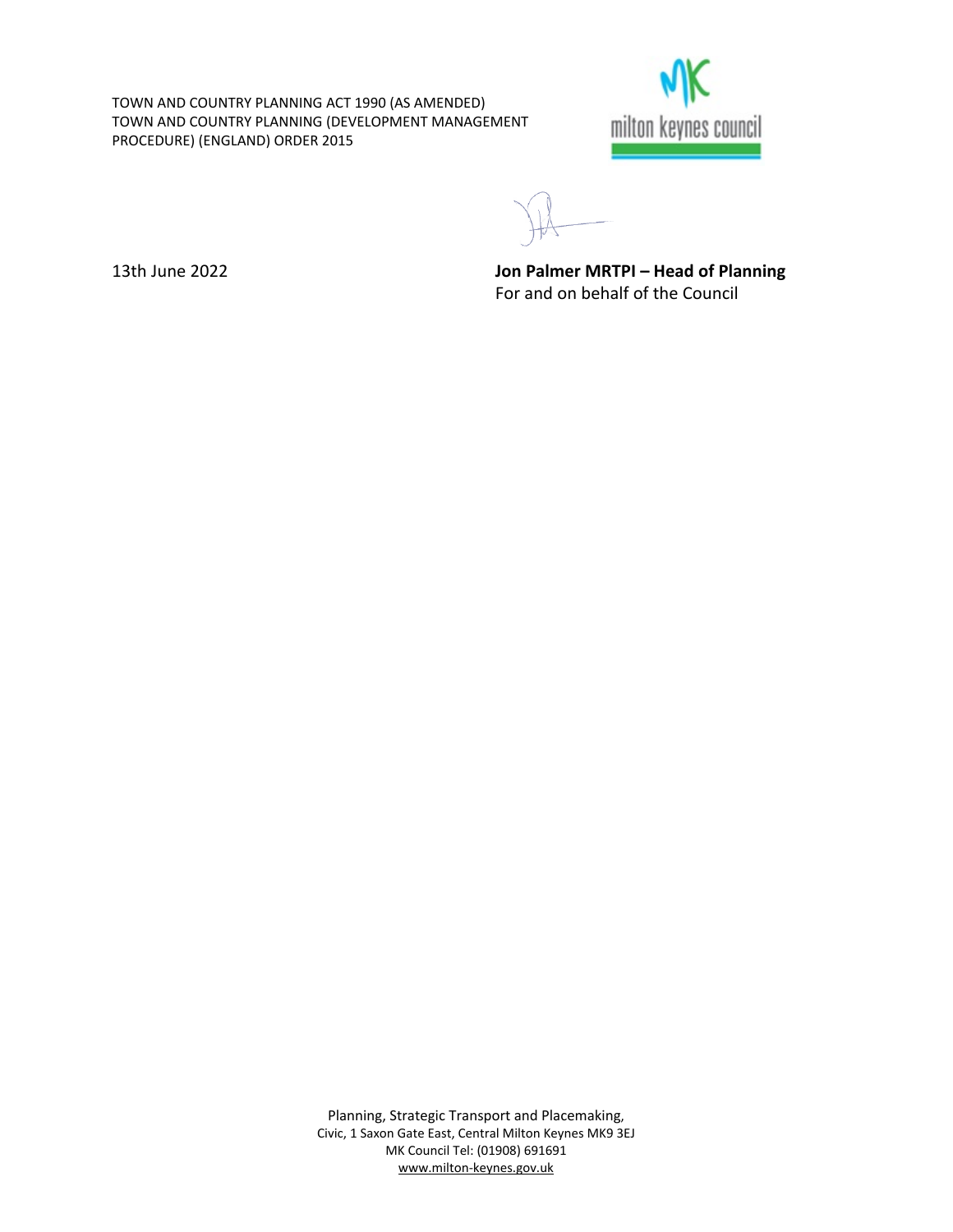TOWN AND COUNTRY PLANNING ACT 1990 (AS AMENDED) TOWN AND COUNTRY PLANNING (DEVELOPMENT MANAGEMENT PROCEDURE) (ENGLAND) ORDER 2015



13th June 2022 **Jon Palmer MRTPI – Head of Planning** For and on behalf of the Council

Planning, Strategic Transport and Placemaking, Civic, 1 Saxon Gate East, Central Milton Keynes MK9 3EJ MK Council Tel: (01908) 691691 [www.milton-keynes.gov.uk](http://www.milton-keynes.gov.uk/)